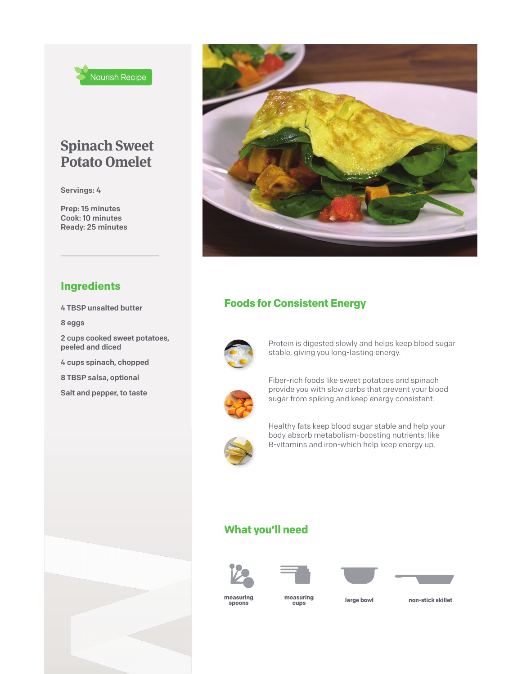

## **Spinach Sweet Potato Omelet**

Servings: 4

Prep: 15 minutes Cook: 10 minutes Ready: 25 minutes



### **Ingredients**

4 TBSP unsalted butter

8 eggs

2 cups cooked sweet potatoes, peeled and diced

4 cups spinach, chopped

8 TBSP salsa, optional

Salt and pepper, to taste

## **Foods for Consistent Energy**



Protein is digested slowly and helps keep blood sugar stable, giving you long-lasting energy.



Fiber-rich foods like sweet potatoes and spinach provide you with slow carbs that prevent your blood sugar from spiking and keep energy consistent.



Healthy fats keep blood sugar stable and help your body absorb metabolism-boosting nutrients, like B-vitamins and iron-which help keep energy up.

### **What you'll need**









**measuring spoons**

**measuring large bowl non-stick skillet cups**